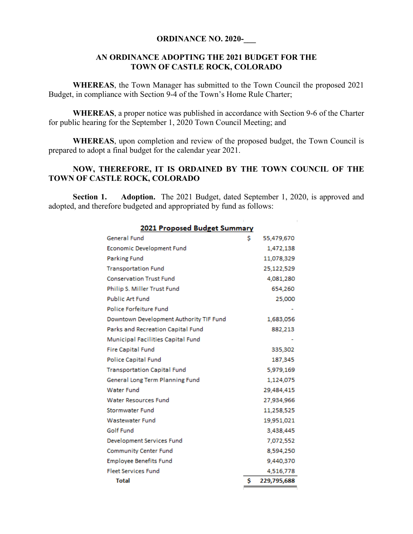### **ORDINANCE NO. 2020-**

## **AN ORDINANCE ADOPTING THE 2021 BUDGET FOR THE TOWN OF CASTLE ROCK, COLORADO**

**WHEREAS**, the Town Manager has submitted to the Town Council the proposed 2021 Budget, in compliance with Section 9-4 of the Town's Home Rule Charter;

**WHEREAS**, a proper notice was published in accordance with Section 9-6 of the Charter for public hearing for the September 1, 2020 Town Council Meeting; and

**WHEREAS**, upon completion and review of the proposed budget, the Town Council is prepared to adopt a final budget for the calendar year 2021.

## **NOW, THEREFORE, IT IS ORDAINED BY THE TOWN COUNCIL OF THE TOWN OF CASTLE ROCK, COLORADO**

**Section 1.** Adoption. The 2021 Budget, dated September 1, 2020, is approved and adopted, and therefore budgeted and appropriated by fund as follows:

 $\sim$  1  $^{-1}$ 

| 2021 Proposed Budget Summary            |    |             |
|-----------------------------------------|----|-------------|
| General Fund                            | Ŝ  | 55,479,670  |
| Economic Development Fund               |    | 1,472,138   |
| <b>Parking Fund</b>                     |    | 11,078,329  |
| <b>Transportation Fund</b>              |    | 25,122,529  |
| <b>Conservation Trust Fund</b>          |    | 4,081,280   |
| Philip S. Miller Trust Fund             |    | 654,260     |
| <b>Public Art Fund</b>                  |    | 25,000      |
| Police Forfeiture Fund                  |    |             |
| Downtown Development Authority TIF Fund |    | 1,683,056   |
| Parks and Recreation Capital Fund       |    | 882,213     |
| Municipal Facilities Capital Fund       |    |             |
| <b>Fire Capital Fund</b>                |    | 335,302     |
| <b>Police Capital Fund</b>              |    | 187,345     |
| <b>Transportation Capital Fund</b>      |    | 5,979,169   |
| General Long Term Planning Fund         |    | 1,124,075   |
| <b>Water Fund</b>                       |    | 29,484,415  |
| <b>Water Resources Fund</b>             |    | 27,934,966  |
| <b>Stormwater Fund</b>                  |    | 11,258,525  |
| Wastewater Fund                         |    | 19,951,021  |
| Golf Fund                               |    | 3,438,445   |
| Development Services Fund               |    | 7,072,552   |
| <b>Community Center Fund</b>            |    | 8,594,250   |
| <b>Employee Benefits Fund</b>           |    | 9,440,370   |
| <b>Fleet Services Fund</b>              |    | 4,516,778   |
| <b>Total</b>                            | \$ | 229,795,688 |

# 2021 Beaugeoid Buildet Summer